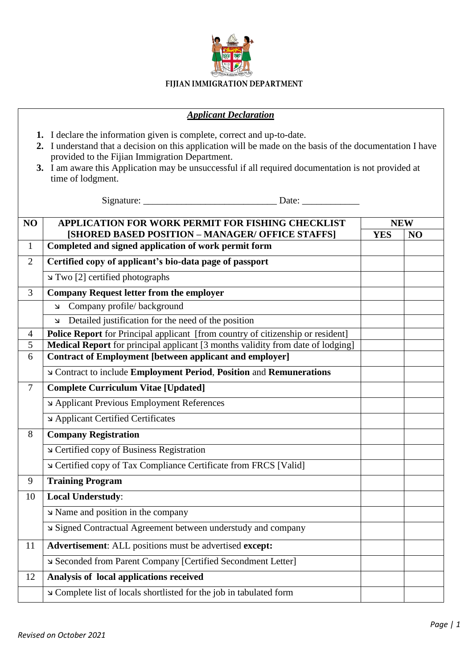

## *Applicant Declaration*

- **1.** I declare the information given is complete, correct and up-to-date.
- **2.** I understand that a decision on this application will be made on the basis of the documentation I have provided to the Fijian Immigration Department.
- **3.** I am aware this Application may be unsuccessful if all required documentation is not provided at time of lodgment.

 $Signature:$ 

| NO             | APPLICATION FOR WORK PERMIT FOR FISHING CHECKLIST                                                        | <b>NEW</b> |                |  |  |
|----------------|----------------------------------------------------------------------------------------------------------|------------|----------------|--|--|
| $\mathbf{1}$   | [SHORED BASED POSITION - MANAGER/ OFFICE STAFFS]<br>Completed and signed application of work permit form | <b>YES</b> | N <sub>O</sub> |  |  |
|                |                                                                                                          |            |                |  |  |
| $\overline{2}$ | Certified copy of applicant's bio-data page of passport                                                  |            |                |  |  |
|                | Two [2] certified photographs                                                                            |            |                |  |  |
| 3              | <b>Company Request letter from the employer</b>                                                          |            |                |  |  |
|                | Company profile/background<br>$\mathbf{\Sigma}$                                                          |            |                |  |  |
|                | Detailed justification for the need of the position<br>$\overline{\mathbf{K}}$                           |            |                |  |  |
| $\overline{4}$ | <b>Police Report</b> for Principal applicant [from country of citizenship or resident]                   |            |                |  |  |
| 5              | Medical Report for principal applicant [3 months validity from date of lodging]                          |            |                |  |  |
| 6              | <b>Contract of Employment [between applicant and employer]</b>                                           |            |                |  |  |
|                | ⊾ Contract to include Employment Period, Position and Remunerations                                      |            |                |  |  |
| $\overline{7}$ | <b>Complete Curriculum Vitae [Updated]</b>                                                               |            |                |  |  |
|                | Applicant Previous Employment References                                                                 |            |                |  |  |
|                | Applicant Certified Certificates                                                                         |            |                |  |  |
| 8              | <b>Company Registration</b>                                                                              |            |                |  |  |
|                | Certified copy of Business Registration                                                                  |            |                |  |  |
|                | Certified copy of Tax Compliance Certificate from FRCS [Valid]                                           |            |                |  |  |
| 9              | <b>Training Program</b>                                                                                  |            |                |  |  |
| 10             | <b>Local Understudy:</b>                                                                                 |            |                |  |  |
|                | צ Name and position in the company                                                                       |            |                |  |  |
|                | Signed Contractual Agreement between understudy and company                                              |            |                |  |  |
| 11             | Advertisement: ALL positions must be advertised except:                                                  |            |                |  |  |
|                | Seconded from Parent Company [Certified Secondment Letter]                                               |            |                |  |  |
| 12             | Analysis of local applications received                                                                  |            |                |  |  |
|                | Complete list of locals shortlisted for the job in tabulated form                                        |            |                |  |  |